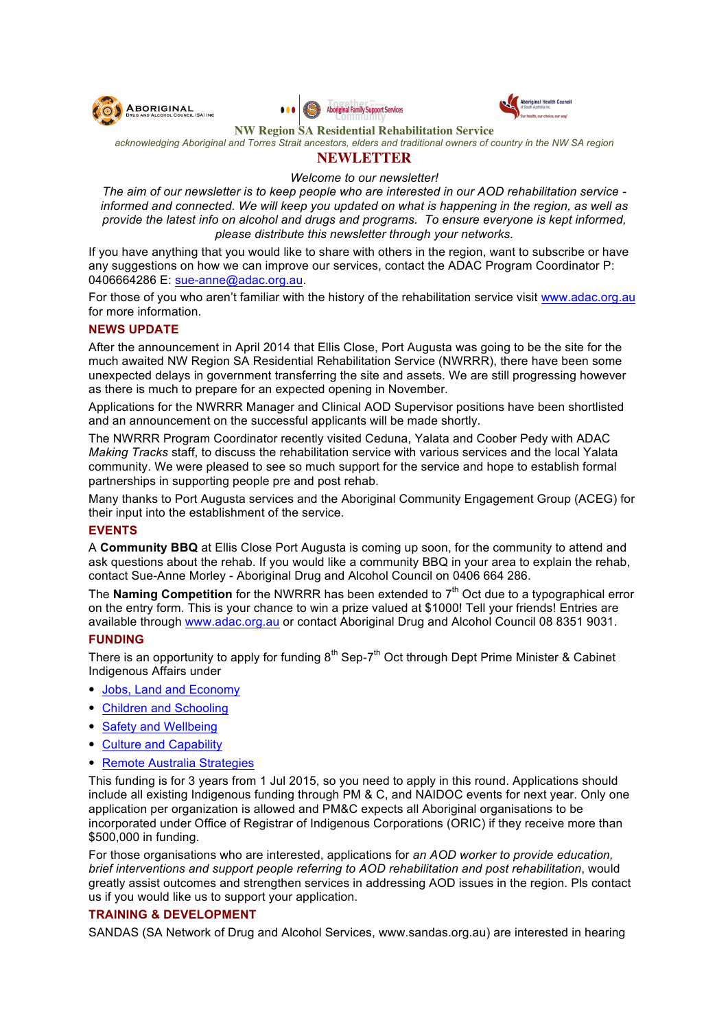





**NW Region SA Residential Rehabilitation Service**

*acknowledging Aboriginal and Torres Strait ancestors, elders and traditional owners of country in the NW SA region*

# **NEWLETTER**

*Welcome to our newsletter!*

*The aim of our newsletter is to keep people who are interested in our AOD rehabilitation service informed and connected. We will keep you updated on what is happening in the region, as well as provide the latest info on alcohol and drugs and programs. To ensure everyone is kept informed, please distribute this newsletter through your networks.*

If you have anything that you would like to share with others in the region, want to subscribe or have any suggestions on how we can improve our services, contact the ADAC Program Coordinator P: 0406664286 E: sue-anne@adac.org.au.

For those of you who aren't familiar with the history of the rehabilitation service visit www.adac.org.au for more information.

#### **NEWS UPDATE**

After the announcement in April 2014 that Ellis Close, Port Augusta was going to be the site for the much awaited NW Region SA Residential Rehabilitation Service (NWRRR), there have been some unexpected delays in government transferring the site and assets. We are still progressing however as there is much to prepare for an expected opening in November.

Applications for the NWRRR Manager and Clinical AOD Supervisor positions have been shortlisted and an announcement on the successful applicants will be made shortly.

The NWRRR Program Coordinator recently visited Ceduna, Yalata and Coober Pedy with ADAC *Making Tracks* staff, to discuss the rehabilitation service with various services and the local Yalata community. We were pleased to see so much support for the service and hope to establish formal partnerships in supporting people pre and post rehab.

Many thanks to Port Augusta services and the Aboriginal Community Engagement Group (ACEG) for their input into the establishment of the service.

## **EVENTS**

A **Community BBQ** at Ellis Close Port Augusta is coming up soon, for the community to attend and ask questions about the rehab. If you would like a community BBQ in your area to explain the rehab, contact Sue-Anne Morley - Aboriginal Drug and Alcohol Council on 0406 664 286.

The **Naming Competition** for the NWRRR has been extended to 7<sup>th</sup> Oct due to a typographical error on the entry form. This is your chance to win a prize valued at \$1000! Tell your friends! Entries are available through www.adac.org.au or contact Aboriginal Drug and Alcohol Council 08 8351 9031.

#### **FUNDING**

There is an opportunity to apply for funding  $8<sup>th</sup>$  Sep-7<sup>th</sup> Oct through Dept Prime Minister & Cabinet Indigenous Affairs under

- Jobs, Land and Economy
- Children and Schooling
- Safety and Wellbeing
- Culture and Capability
- Remote Australia Strategies

This funding is for 3 years from 1 Jul 2015, so you need to apply in this round. Applications should include all existing Indigenous funding through PM & C, and NAIDOC events for next year. Only one application per organization is allowed and PM&C expects all Aboriginal organisations to be incorporated under Office of Registrar of Indigenous Corporations (ORIC) if they receive more than \$500,000 in funding.

For those organisations who are interested, applications for *an AOD worker to provide education, brief interventions and support people referring to AOD rehabilitation and post rehabilitation*, would greatly assist outcomes and strengthen services in addressing AOD issues in the region. Pls contact us if you would like us to support your application.

## **TRAINING & DEVELOPMENT**

SANDAS (SA Network of Drug and Alcohol Services, www.sandas.org.au) are interested in hearing